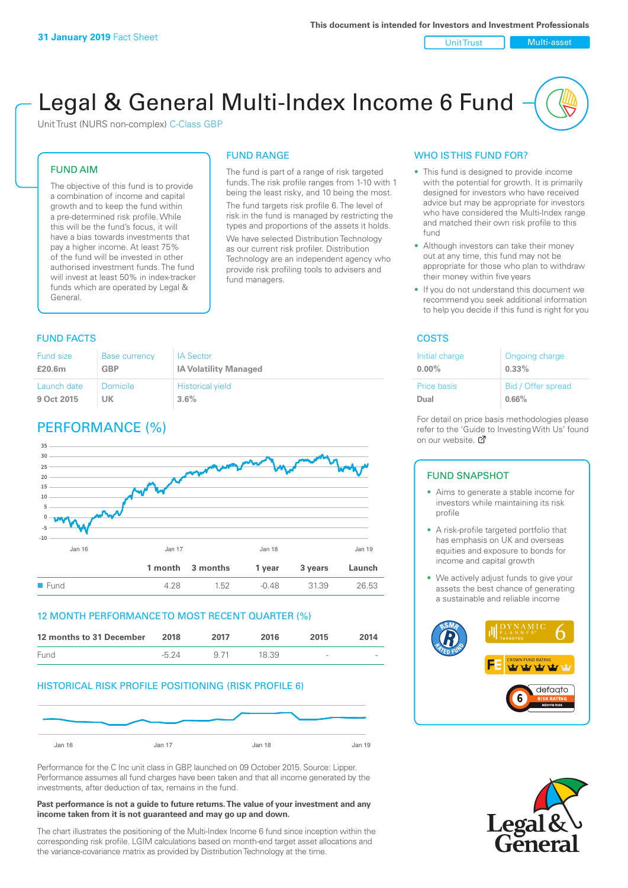Unit Trust Nulti-asset

# Legal & General Multi-Index Income 6 Fund

The fund is part of a range of risk targeted funds. The risk profile ranges from 1-10 with 1 being the least risky, and 10 being the most. The fund targets risk profile 6. The level of risk in the fund is managed by restricting the types and proportions of the assets it holds. We have selected Distribution Technology as our current risk profiler. Distribution Technology are an independent agency who provide risk profiling tools to advisers and

FUND RANGE

fund managers.

Unit Trust (NURS non-complex) C-Class GBP

#### FUND AIM

The objective of this fund is to provide a combination of income and capital growth and to keep the fund within a pre-determined risk profile. While this will be the fund's focus, it will have a bias towards investments that pay a higher income. At least 75% of the fund will be invested in other authorised investment funds. The fund will invest at least 50% in index-tracker funds which are operated by Legal & General.

### **FUND FACTS** COSTS

| <b>Fund size</b> | Base currency | <b>IA Sector</b>             |
|------------------|---------------|------------------------------|
| £20.6m           | <b>GBP</b>    | <b>IA Volatility Managed</b> |
| Launch date      | Domicile      | <b>Historical yield</b>      |
| 9 Oct 2015       | UK            | 3.6%                         |

# PERFORMANCE (%)



#### 12 MONTH PERFORMANCE TO MOST RECENT QUARTER (%)

| 12 months to 31 December | 2018    | 2017 | 2016  | 2015   | 2014   |
|--------------------------|---------|------|-------|--------|--------|
| Fund                     | $-5.24$ | 9.71 | 18.39 | $\sim$ | $\sim$ |

#### HISTORICAL RISK PROFILE POSITIONING (RISK PROFILE 6)



Performance for the C Inc unit class in GBP, launched on 09 October 2015. Source: Lipper. Performance assumes all fund charges have been taken and that all income generated by the investments, after deduction of tax, remains in the fund.

#### **Past performance is not a guide to future returns. The value of your investment and any income taken from it is not guaranteed and may go up and down.**

The chart illustrates the positioning of the Multi-Index Income 6 fund since inception within the corresponding risk profile. LGIM calculations based on month-end target asset allocations and the variance-covariance matrix as provided by Distribution Technology at the time.

#### WHO IS THIS FUND FOR?

- This fund is designed to provide income with the potential for growth. It is primarily designed for investors who have received advice but may be appropriate for investors who have considered the Multi-Index range and matched their own risk profile to this fund
- Although investors can take their money out at any time, this fund may not be appropriate for those who plan to withdraw their money within five years
- If you do not understand this document we recommend you seek additional information to help you decide if this fund is right for you

| Initial charge | Ongoing charge     |
|----------------|--------------------|
| $0.00\%$       | $0.33\%$           |
| Price basis    | Bid / Offer spread |
| Dual           | 0.66%              |

For detail on price basis methodologies please refer to the 'Gu[ide t](http://www.legalandgeneral.com/guide)o Investing With Us' found on our website. Ø

#### FUND SNAPSHOT

- Aims to generate a stable income for investors while maintaining its risk profile
- A risk-profile targeted portfolio that has emphasis on UK and overseas equities and exposure to bonds for income and capital growth
- We actively adjust funds to give your assets the best chance of generating a sustainable and reliable income



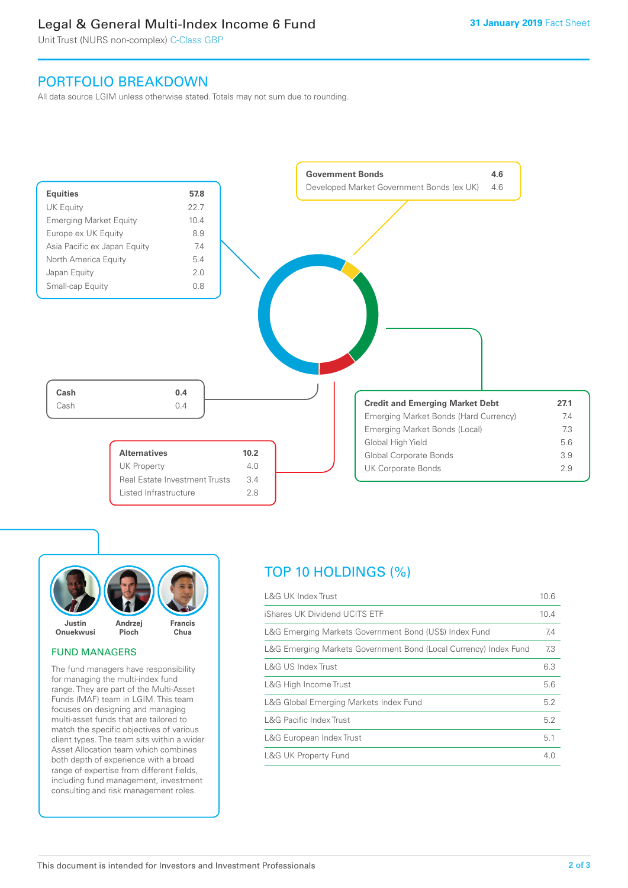# Legal & General Multi-Index Income 6 Fund

Unit Trust (NURS non-complex) C-Class GBP

## PORTFOLIO BREAKDOWN

All data source LGIM unless otherwise stated. Totals may not sum due to rounding.





#### FUND MANAGERS

The fund managers have responsibility for managing the multi-index fund range. They are part of the Multi-Asset Funds (MAF) team in LGIM. This team focuses on designing and managing multi-asset funds that are tailored to match the specific objectives of various client types. The team sits within a wider Asset Allocation team which combines both depth of experience with a broad range of expertise from different fields, including fund management, investment consulting and risk management roles.

# TOP 10 HOLDINGS (%)

| <b>L&amp;G UK Index Trust</b>                                    | 10.6 |
|------------------------------------------------------------------|------|
| iShares UK Dividend UCITS ETF                                    | 10.4 |
| L&G Emerging Markets Government Bond (US\$) Index Fund           | 7.4  |
| L&G Emerging Markets Government Bond (Local Currency) Index Fund | 7.3  |
| <b>L&amp;G US Index Trust</b>                                    | 6.3  |
| L&G High Income Trust                                            | 5.6  |
| L&G Global Emerging Markets Index Fund                           | 5.2  |
| <b>L&amp;G Pacific Index Trust</b>                               | 5.2  |
| L&G European Index Trust                                         | 5.1  |
| <b>L&amp;G UK Property Fund</b>                                  | 4.0  |